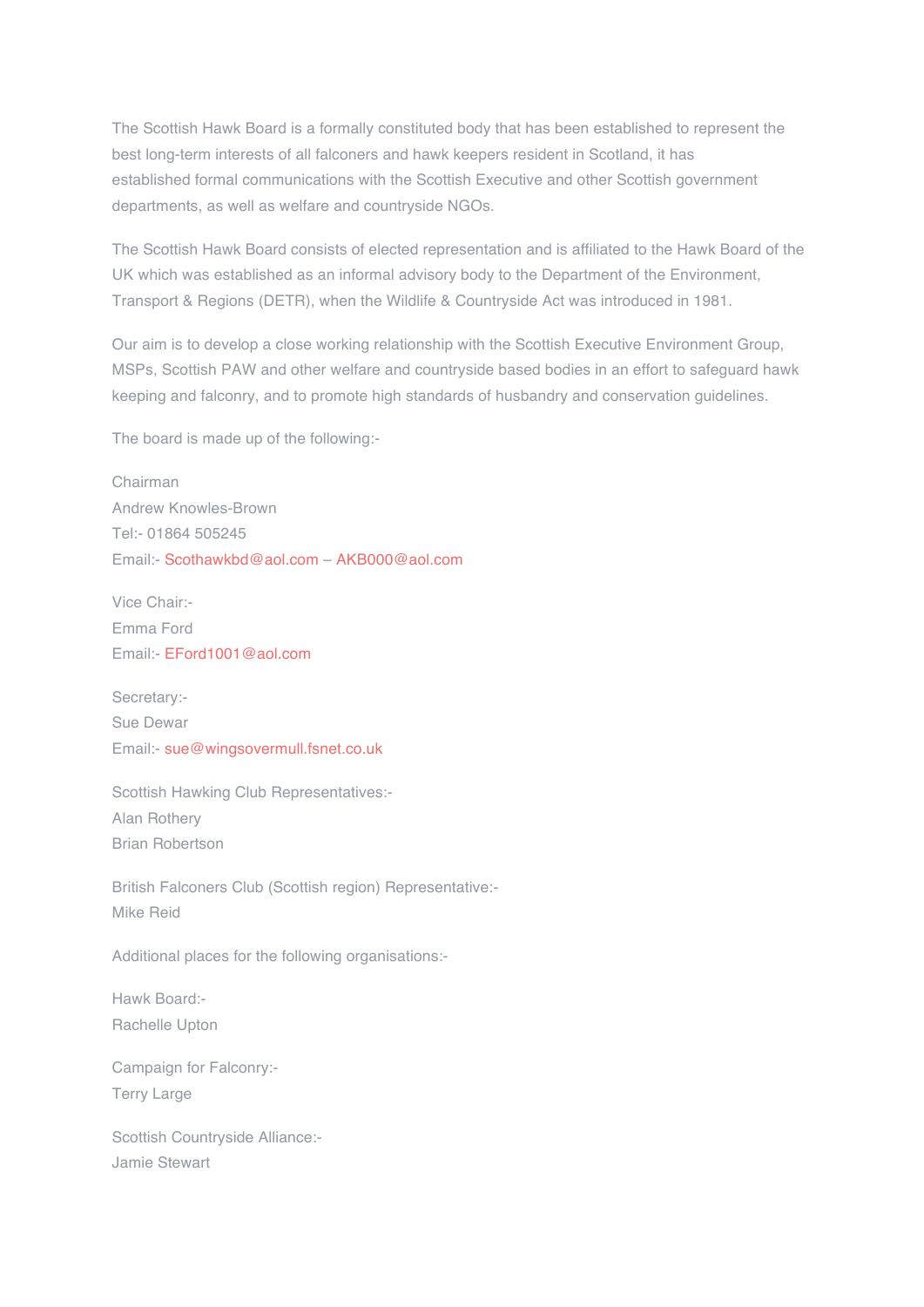The Scottish Hawk Board is a formally constituted body that has been established to represent the best long-term interests of all falconers and hawk keepers resident in Scotland, it has established formal communications with the Scottish Executive and other Scottish government departments, as well as welfare and countryside NGOs.

The Scottish Hawk Board consists of elected representation and is affiliated to the Hawk Board of the UK which was established as an informal advisory body to the Department of the Environment, Transport & Regions (DETR), when the Wildlife & Countryside Act was introduced in 1981.

Our aim is to develop a close working relationship with the Scottish Executive Environment Group, MSPs, Scottish PAW and other welfare and countryside based bodies in an effort to safeguard hawk keeping and falconry, and to promote high standards of husbandry and conservation guidelines.

The board is made up of the following:-

Chairman Andrew Knowles-Brown Tel:- 01864 505245 Email:- Scothawkbd@aol.com – AKB000@aol.com

Vice Chair:- Emma Ford Email:- EFord1001@aol.com

Secretary:- Sue Dewar Email:- sue@wingsovermull.fsnet.co.uk

Scottish Hawking Club Representatives:- Alan Rothery Brian Robertson

British Falconers Club (Scottish region) Representative:- Mike Reid

Additional places for the following organisations:-

Hawk Board:- Rachelle Upton

Campaign for Falconry:- Terry Large

Scottish Countryside Alliance:- Jamie Stewart